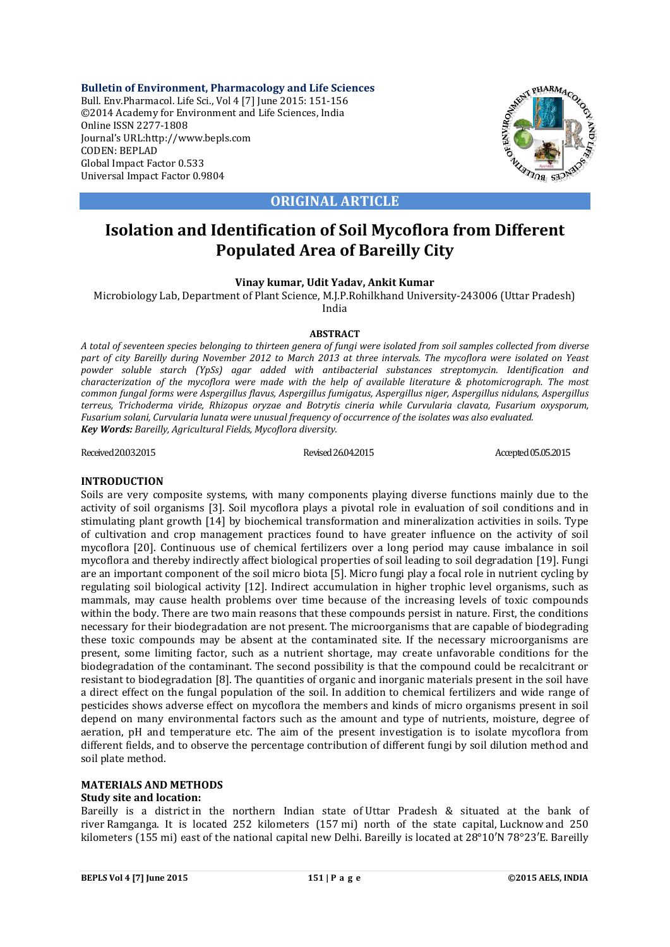**Bulletin of Environment, Pharmacology and Life Sciences** Bull. Env.Pharmacol. Life Sci., Vol 4 [7] June 2015: 151-156 ©2014 Academy for Environment and Life Sciences, India Online ISSN 2277-1808 Journal's URL:http://www.bepls.com CODEN: BEPLAD Global Impact Factor 0.533 Universal Impact Factor 0.9804



**ORIGINAL ARTICLE**

# **Isolation and Identification of Soil Mycoflora from Different Populated Area of Bareilly City**

**Vinay kumar, Udit Yadav, Ankit Kumar**

Microbiology Lab, Department of Plant Science, M.J.P.Rohilkhand University-243006 (Uttar Pradesh) India

## **ABSTRACT**

*A total of seventeen species belonging to thirteen genera of fungi were isolated from soil samples collected from diverse part of city Bareilly during November 2012 to March 2013 at three intervals. The mycoflora were isolated on Yeast powder soluble starch (YpSs) agar added with antibacterial substances streptomycin. Identification and characterization of the mycoflora were made with the help of available literature & photomicrograph. The most common fungal forms were Aspergillus flavus, Aspergillus fumigatus, Aspergillus niger, Aspergillus nidulans, Aspergillus terreus, Trichoderma viride, Rhizopus oryzae and Botrytis cineria while Curvularia clavata, Fusarium oxysporum, Fusarium solani, Curvularia lunata were unusual frequency of occurrence of the isolates was also evaluated. Key Words: Bareilly, Agricultural Fields, Mycoflora diversity.*

Received 20.03.2015 Revised 26.04.2015 Revised 26.04.2015 Accepted 05.05.2015

## **INTRODUCTION**

Soils are very composite systems, with many components playing diverse functions mainly due to the activity of soil organisms [3]. Soil mycoflora plays a pivotal role in evaluation of soil conditions and in stimulating plant growth [14] by biochemical transformation and mineralization activities in soils. Type of cultivation and crop management practices found to have greater influence on the activity of soil mycoflora [20]. Continuous use of chemical fertilizers over a long period may cause imbalance in soil mycoflora and thereby indirectly affect biological properties of soil leading to soil degradation [19]. Fungi are an important component of the soil micro biota [5]. Micro fungi play a focal role in nutrient cycling by regulating soil biological activity [12]. Indirect accumulation in higher trophic level organisms, such as mammals, may cause health problems over time because of the increasing levels of toxic compounds within the body. There are two main reasons that these compounds persist in nature. First, the conditions necessary for their biodegradation are not present. The microorganisms that are capable of biodegrading these toxic compounds may be absent at the contaminated site. If the necessary microorganisms are present, some limiting factor, such as a nutrient shortage, may create unfavorable conditions for the biodegradation of the contaminant. The second possibility is that the compound could be recalcitrant or resistant to biodegradation [8]. The quantities of organic and inorganic materials present in the soil have a direct effect on the fungal population of the soil. In addition to chemical fertilizers and wide range of pesticides shows adverse effect on mycoflora the members and kinds of micro organisms present in soil depend on many environmental factors such as the amount and type of nutrients, moisture, degree of aeration, pH and temperature etc. The aim of the present investigation is to isolate mycoflora from different fields, and to observe the percentage contribution of different fungi by soil dilution method and soil plate method.

## **MATERIALS AND METHODS**

# **Study site and location:**

Bareilly is a district in the northern Indian state of Uttar Pradesh & situated at the bank of river Ramganga. It is located 252 kilometers (157 mi) north of the state capital, Lucknow and 250 kilometers (155 mi) east of the national capital new Delhi. Bareilly is located at 28°10′N 78°23′E. Bareilly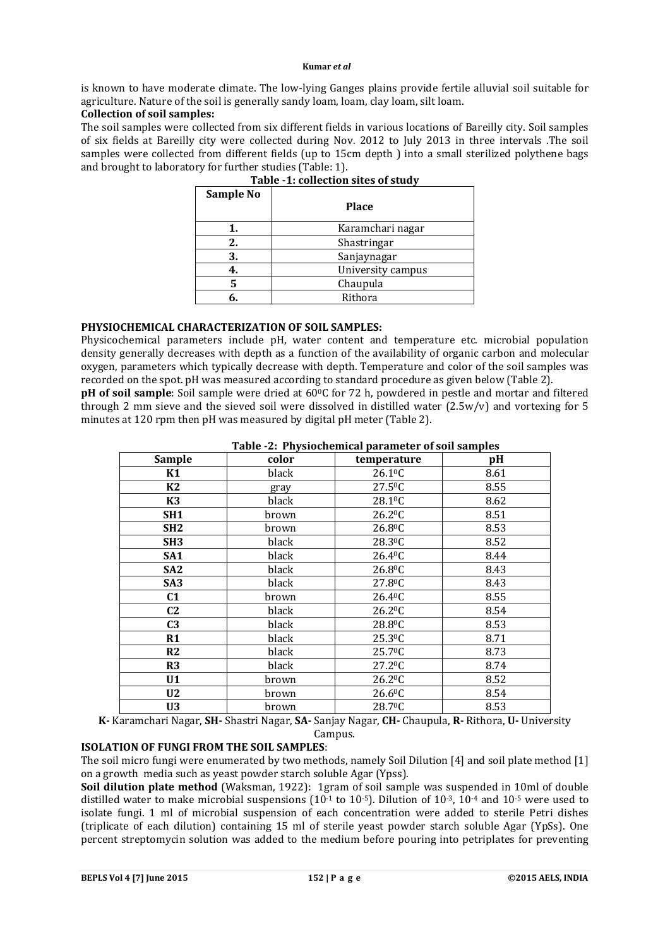#### **Kumar** *et al*

is known to have moderate climate. The low-lying Ganges plains provide fertile alluvial soil suitable for agriculture. Nature of the soil is generally sandy loam, loam, clay loam, silt loam.

## **Collection of soil samples:**

The soil samples were collected from six different fields in various locations of Bareilly city. Soil samples of six fields at Bareilly city were collected during Nov. 2012 to July 2013 in three intervals .The soil samples were collected from different fields (up to 15cm depth ) into a small sterilized polythene bags and brought to laboratory for further studies (Table: 1).

| Sample No |                   |
|-----------|-------------------|
|           | <b>Place</b>      |
|           | Karamchari nagar  |
| 2.        | Shastringar       |
| 3.        | Sanjaynagar       |
| 4.        | University campus |
| 5         | Chaupula          |
| 6.        | Rithora           |
|           |                   |

|  | Table -1: collection sites of study |  |
|--|-------------------------------------|--|
|  |                                     |  |

# **PHYSIOCHEMICAL CHARACTERIZATION OF SOIL SAMPLES:**

Physicochemical parameters include pH, water content and temperature etc. microbial population density generally decreases with depth as a function of the availability of organic carbon and molecular oxygen, parameters which typically decrease with depth. Temperature and color of the soil samples was recorded on the spot. pH was measured according to standard procedure as given below (Table 2).

**pH** of soil sample: Soil sample were dried at 60<sup>o</sup>C for 72 h, powdered in pestle and mortar and filtered through 2 mm sieve and the sieved soil were dissolved in distilled water (2.5w/v) and vortexing for 5 minutes at 120 rpm then pH was measured by digital pH meter (Table 2).

| <b>Sample</b>   | color | temperature         | pH   |
|-----------------|-------|---------------------|------|
| K1              | black | 26.1 <sup>0</sup> C | 8.61 |
| K2              | gray  | $27.5^{\circ}$ C    | 8.55 |
| <b>K3</b>       | black | 28.1 <sup>o</sup> C | 8.62 |
| SH <sub>1</sub> | brown | 26.2 <sup>0</sup> C | 8.51 |
| SH <sub>2</sub> | brown | 26.8 <sup>0</sup> C | 8.53 |
| SH <sub>3</sub> | black | 28.3 <sup>0</sup> C | 8.52 |
| SA <sub>1</sub> | black | 26.4 <sup>0</sup> C | 8.44 |
| SA <sub>2</sub> | black | 26.8 <sup>0</sup> C | 8.43 |
| SA <sub>3</sub> | black | 27.8 <sup>0</sup> C | 8.43 |
| C <sub>1</sub>  | brown | 26.4 <sup>0</sup> C | 8.55 |
| C <sub>2</sub>  | black | 26.2 <sup>0</sup> C | 8.54 |
| C <sub>3</sub>  | black | 28.8 <sup>o</sup> C | 8.53 |
| R1              | black | 25.3 <sup>0</sup> C | 8.71 |
| R2              | black | 25.7 <sup>0</sup> C | 8.73 |
| R3              | black | 27.2 <sup>0</sup> C | 8.74 |
| U1              | brown | 26.2 <sup>0</sup> C | 8.52 |
| U <sub>2</sub>  | brown | 26.6 <sup>0</sup> C | 8.54 |
| U <sub>3</sub>  | brown | 28.7 <sup>0</sup> C | 8.53 |

 **Table -2: Physiochemical parameter of soil samples**

**K-** Karamchari Nagar, **SH-** Shastri Nagar, **SA-** Sanjay Nagar, **CH-** Chaupula, **R-** Rithora, **U-** University Campus.

# **ISOLATION OF FUNGI FROM THE SOIL SAMPLES**:

The soil micro fungi were enumerated by two methods, namely Soil Dilution [4] and soil plate method [1] on a growth media such as yeast powder starch soluble Agar (Ypss).

**Soil dilution plate method** (Waksman, 1922): 1gram of soil sample was suspended in 10ml of double distilled water to make microbial suspensions  $(10^{-1}$  to  $10^{-5}$ ). Dilution of  $10^{-3}$ ,  $10^{-4}$  and  $10^{-5}$  were used to isolate fungi. 1 ml of microbial suspension of each concentration were added to sterile Petri dishes (triplicate of each dilution) containing 15 ml of sterile yeast powder starch soluble Agar (YpSs). One percent streptomycin solution was added to the medium before pouring into petriplates for preventing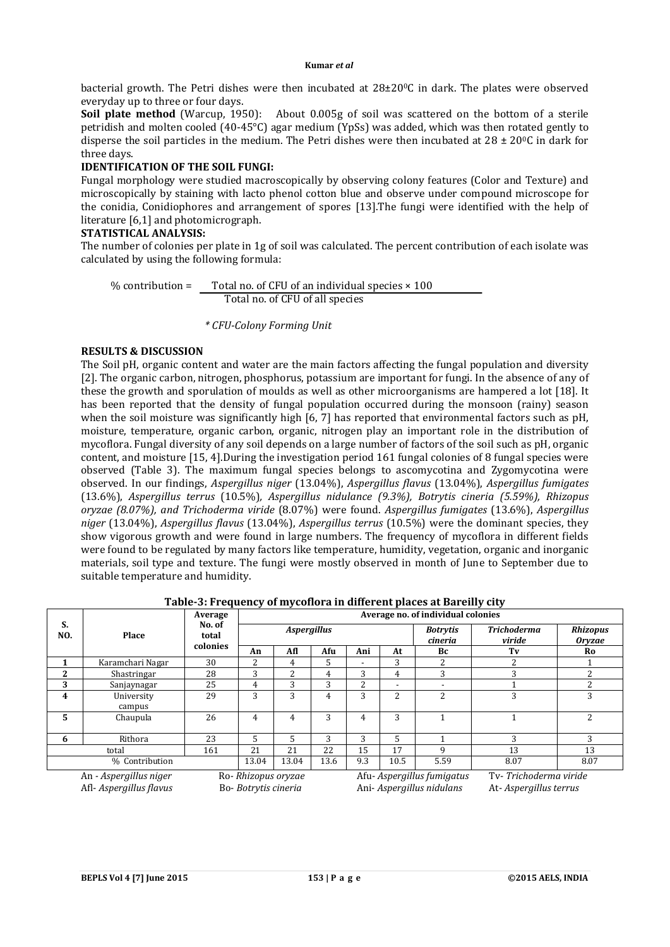bacterial growth. The Petri dishes were then incubated at 28±200C in dark. The plates were observed everyday up to three or four days.

**Soil plate method** (Warcup, 1950): About 0.005g of soil was scattered on the bottom of a sterile petridish and molten cooled (40-45°C) agar medium (YpSs) was added, which was then rotated gently to disperse the soil particles in the medium. The Petri dishes were then incubated at  $28 \pm 20^{\circ}$ C in dark for three days.

# **IDENTIFICATION OF THE SOIL FUNGI:**

Fungal morphology were studied macroscopically by observing colony features (Color and Texture) and microscopically by staining with lacto phenol cotton blue and observe under compound microscope for the conidia, Conidiophores and arrangement of spores [13].The fungi were identified with the help of literature [6,1] and photomicrograph.

# **STATISTICAL ANALYSIS:**

The number of colonies per plate in 1g of soil was calculated. The percent contribution of each isolate was calculated by using the following formula:

% contribution = Total no. of CFU of an individual species  $\times$  100 Total no. of CFU of all species

 *\* CFU-Colony Forming Unit*

# **RESULTS & DISCUSSION**

The Soil pH, organic content and water are the main factors affecting the fungal population and diversity [2]. The organic carbon, nitrogen, phosphorus, potassium are important for fungi. In the absence of any of these the growth and sporulation of moulds as well as other microorganisms are hampered a lot [18]. It has been reported that the density of fungal population occurred during the monsoon (rainy) season when the soil moisture was significantly high [6, 7] has reported that environmental factors such as pH, moisture, temperature, organic carbon, organic, nitrogen play an important role in the distribution of mycoflora. Fungal diversity of any soil depends on a large number of factors of the soil such as pH, organic content, and moisture [15, 4].During the investigation period 161 fungal colonies of 8 fungal species were observed (Table 3). The maximum fungal species belongs to ascomycotina and Zygomycotina were observed. In our findings, *Aspergillus niger* (13.04%), *Aspergillus flavus* (13.04%), *Aspergillus fumigates* (13.6%), *Aspergillus terrus* (10.5%)*, Aspergillus nidulance (9.3%), Botrytis cineria (5.59%), Rhizopus oryzae (8.07%), and Trichoderma viride* (8.07%) were found. *Aspergillus fumigates* (13.6%), *Aspergillus niger* (13.04%), *Aspergillus flavus* (13.04%), *Aspergillus terrus* (10.5%) were the dominant species, they show vigorous growth and were found in large numbers. The frequency of mycoflora in different fields were found to be regulated by many factors like temperature, humidity, vegetation, organic and inorganic materials, soil type and texture. The fungi were mostly observed in month of June to September due to suitable temperature and humidity.

# **Table-3: Frequency of mycoflora in different places at Bareilly city**

|              | Place                  | Average                     | Average no. of individual colonies |       |      |     |      |                            |                              |                                  |
|--------------|------------------------|-----------------------------|------------------------------------|-------|------|-----|------|----------------------------|------------------------------|----------------------------------|
| S.<br>NO.    |                        | No. of<br>total<br>colonies | <b>Aspergillus</b>                 |       |      |     |      | <b>Botrytis</b><br>cineria | <b>Trichoderma</b><br>viride | <b>Rhizopus</b><br><b>Orvzae</b> |
|              |                        |                             | An                                 | Afl   | Afu  | Ani | At   | Bc                         | Tv                           | Ro                               |
|              | Karamchari Nagar       | 30                          | າ                                  | 4     | 5    | -   | 3    | ∍                          | C                            |                                  |
| $\mathbf{2}$ | Shastringar            | 28                          | 3                                  | 2     | 4    | 3   | 4    | 3                          | 3                            | 2                                |
| 3            | Sanjaynagar            | 25                          | 4                                  | 3     | 3    | 2   | -    | $\overline{\phantom{0}}$   |                              | 2                                |
| 4            | University<br>campus   | 29                          | 3                                  | 3     | 4    | 3   | 2    | 2                          | 3                            | 3                                |
| 5            | Chaupula               | 26                          | 4                                  | 4     | 3    | 4   | 3    |                            |                              | 2                                |
| 6            | Rithora                | 23                          | 5                                  | 5.    | 3    | 3   | 5    |                            | 3                            | 3                                |
|              | total                  | 161                         | 21                                 | 21    | 22   | 15  | 17   | q                          | 13                           | 13                               |
|              | % Contribution         |                             | 13.04                              | 13.04 | 13.6 | 9.3 | 10.5 | 5.59                       | 8.07                         | 8.07                             |
|              | An - Aspergillus niger |                             | Ro-Rhizopus oryzae                 |       |      |     |      | Afu-Aspergillus fumigatus  | Tv-Trichoderma viride        |                                  |

Afl- *Aspergillus flavus* Bo- *Botrytis cineria* Ani- *Aspergillus nidulans* At- *Aspergillus terrus*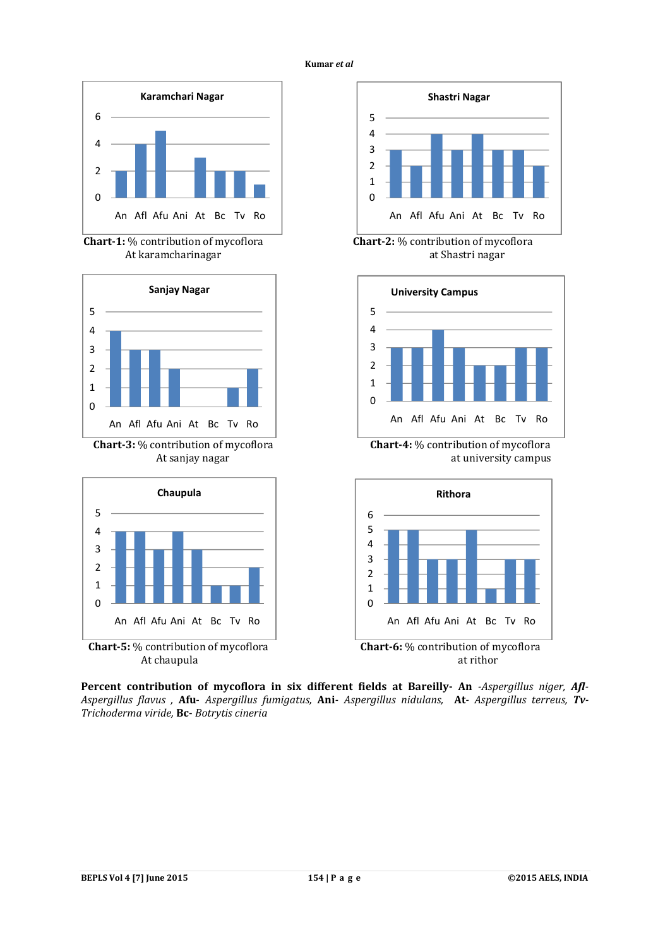



**Chart-1:** % contribution of mycoflora **Chart-2:** % contribution of mycoflora





At chaupula at rithor at rithor



At karamcharinagar at Shastri nagar



 **Chart-3:** % contribution of mycoflora **Chart-4:** % contribution of mycoflora At sanjay nagar at university campus



**Percent contribution of mycoflora in six different fields at Bareilly- An** *-Aspergillus niger, Afl-Aspergillus flavus ,* **Afu**- *Aspergillus fumigatus,* **Ani***- Aspergillus nidulans,* **At***- Aspergillus terreus, Tv-Trichoderma viride,* **Bc-** *Botrytis cineria*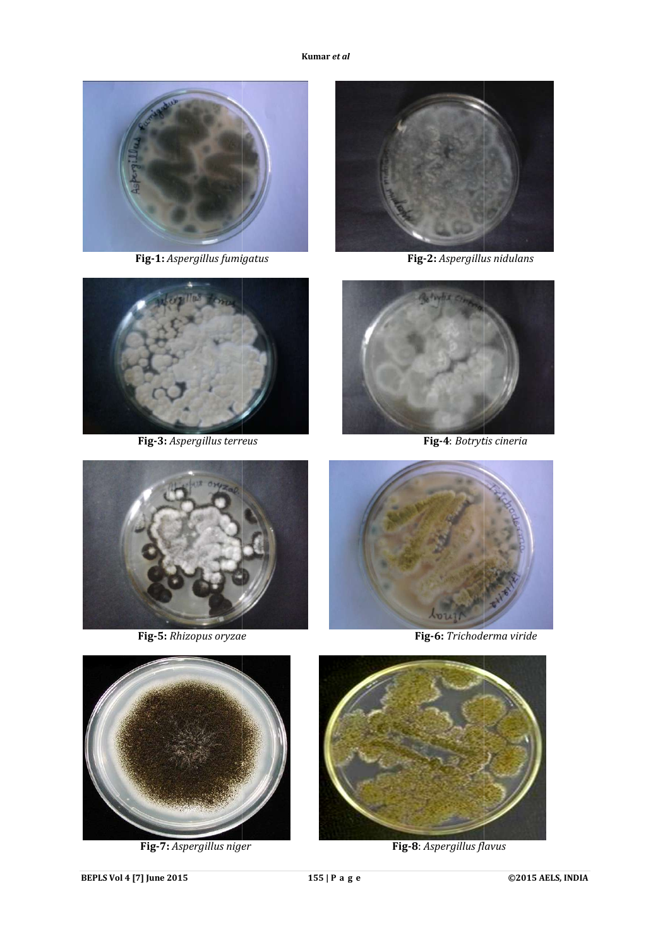

**Fig-1:** *Aspergillus fumigatus* 



**Fig-3:** *Aspergillus terreus* 



**Fig-2:** *Aspergillus nidulans*



**Fig-4**: *Botrytis cineria* 



**Fig-5:** *Rhizopus oryzae* 



**Fig-6:** *Trichoderma viride*



**Fig-7:** *Aspergillus niger* 



**Fig-8**: *Aspergillus flavus*